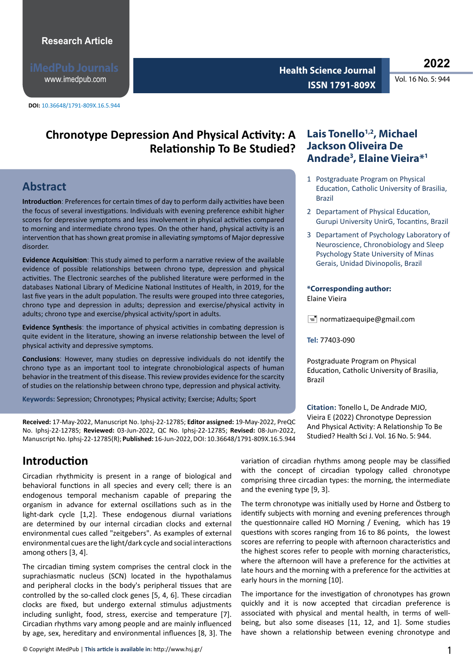www.imedpub.com

**DOI:** 10.36648/1791-809X.16.5.944

**<sup>2022</sup> Health Science Journal ISSN 1791-809X** 

# **Chronotype Depression And Physical Activity: A Relationship To Be Studied?**

# **Abstract**

**Introductionː** Preferences for certain times of day to perform daily activities have been the focus of several investigations. Individuals with evening preference exhibit higher scores for depressive symptoms and less involvement in physical activities compared to morning and intermediate chrono types. On the other hand, physical activity is an intervention that has shown great promise in alleviating symptoms of Major depressive disorder.

**Evidence Acquisitionː** This study aimed to perform a narrative review of the available evidence of possible relationships between chrono type, depression and physical activities. The Electronic searches of the published literature were performed in the databases National Library of Medicine National Institutes of Health, in 2019, for the last five years in the adult population. The results were grouped into three categories, chrono type and depression in adults; depression and exercise/physical activity in adults; chrono type and exercise/physical activity/sport in adults.

**Evidence Synthesisː** the importance of physical activities in combating depression is quite evident in the literature, showing an inverse relationship between the level of physical activity and depressive symptoms.

**Conclusionsː** However, many studies on depressive individuals do not identify the chrono type as an important tool to integrate chronobiological aspects of human behavior in the treatment of this disease. This review provides evidence for the scarcity of studies on the relationship between chrono type, depression and physical activity.

**Keywords:** Sepression; Chronotypes; Physical activity; Exercise; Adults; Sport

**Received:** 17-May-2022, Manuscript No. Iphsj-22-12785; **Editor assigned:** 19-May-2022, PreQC No. Iphsj-22-12785; **Reviewed:** 03-Jun-2022, QC No. Iphsj-22-12785; **Revised:** 08-Jun-2022, Manuscript No. Iphsj-22-12785(R); **Published:** 16-Jun-2022, DOI: 10.36648/1791-809X.16.5.944

# **Introduction**

Circadian rhythmicity is present in a range of biological and behavioral functions in all species and every cell; there is an endogenous temporal mechanism capable of preparing the organism in advance for external oscillations such as in the light-dark cycle [1,2]. These endogenous diurnal variations are determined by our internal circadian clocks and external environmental cues called "zeitgebers". As examples of external environmental cues are the light/dark cycle and social interactions among others [3, 4].

The circadian timing system comprises the central clock in the suprachiasmatic nucleus (SCN) located in the hypothalamus and peripheral clocks in the body's peripheral tissues that are controlled by the so-called clock genes [5, 4, 6]. These circadian clocks are fixed, but undergo external stimulus adjustments including sunlight, food, stress, exercise and temperature [7]. Circadian rhythms vary among people and are mainly influenced by age, sex, hereditary and environmental influences [8, 3]. The

### Lais Tonello<sup>1,2</sup>, Michael **Jackson Oliveira De Andrade3 , Elaine Vieira\*1**

- 1 Postgraduate Program on Physical Education, Catholic University of Brasilia, Brazil
- 2 Departament of Physical Education, Gurupi University UnirG, Tocantins, Brazil
- 3 Departament of Psychology Laboratory of Neuroscience, Chronobiology and Sleep Psychology State University of Minas Gerais, Unidad Divinopolis, Brazil

#### **\*Corresponding author:**

Elaine Vieira

 $\equiv$  normatizaequipe@gmail.com

**Tel:** 77403-090

Postgraduate Program on Physical Education, Catholic University of Brasilia, Brazil

**Citation:** Tonello L, De Andrade MJO, Vieira E (2022) Chronotype Depression And Physical Activity: A Relationship To Be Studied? Health Sci J. Vol. 16 No. 5: 944.

variation of circadian rhythms among people may be classified with the concept of circadian typology called chronotype comprising three circadian types: the morning, the intermediate and the evening type [9, 3].

The term chronotype was initially used by Horne and Östberg to identify subjects with morning and evening preferences through the questionnaire called HO Morning / Evening, which has 19 questions with scores ranging from 16 to 86 points, the lowest scores are referring to people with afternoon characteristics and the highest scores refer to people with morning characteristics, where the afternoon will have a preference for the activities at late hours and the morning with a preference for the activities at early hours in the morning [10].

The importance for the investigation of chronotypes has grown quickly and it is now accepted that circadian preference is associated with physical and mental health, in terms of wellbeing, but also some diseases [11, 12, and 1]. Some studies have shown a relationship between evening chronotype and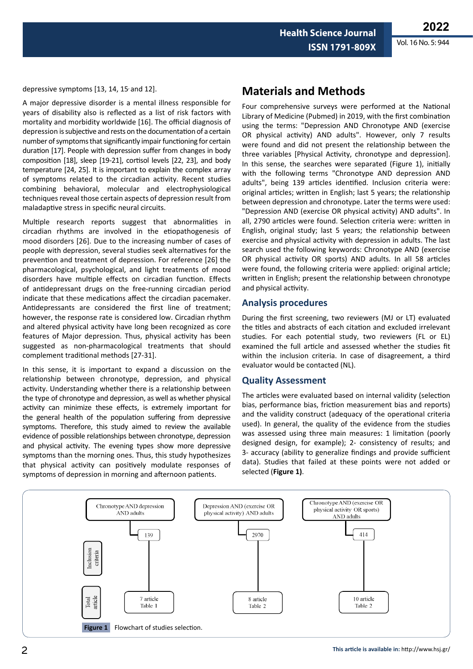**2022** Vol. 16 No. 5: 944

depressive symptoms  $[13, 14, 15,$  and  $12]$ .

A major depressive disorder is a mental illness responsible for years of disability also is reflected as a list of risk factors with mortality and morbidity worldwide [16]. The official diagnosis of depression is subjective and rests on the documentation of a certain number of symptoms that significantly impair functioning for certain duration [17]. People with depression suffer from changes in body composition [18], sleep [19-21], cortisol levels [22, 23], and body temperature [24, 25]. It is important to explain the complex array of symptoms related to the circadian activity. Recent studies combining behavioral, molecular and electrophysiological techniques reveal those certain aspects of depression result from maladaptive stress in specific neural circuits.

Multiple research reports suggest that abnormalities in circadian rhythms are involved in the etiopathogenesis of mood disorders [26]. Due to the increasing number of cases of people with depression, several studies seek alternatives for the prevention and treatment of depression. For reference [26] the pharmacological, psychological, and light treatments of mood disorders have multiple effects on circadian function. Effects of antidepressant drugs on the free-running circadian period indicate that these medications affect the circadian pacemaker. Antidepressants are considered the first line of treatment; however, the response rate is considered low. Circadian rhythm and altered physical activity have long been recognized as core features of Major depression. Thus, physical activity has been suggested as non-pharmacological treatments that should complement traditional methods [27-31].

In this sense, it is important to expand a discussion on the relationship between chronotype, depression, and physical activity. Understanding whether there is a relationship between the type of chronotype and depression, as well as whether physical activity can minimize these effects, is extremely important for the general health of the population suffering from depressive symptoms. Therefore, this study aimed to review the available evidence of possible relationships between chronotype, depression and physical activity. The evening types show more depressive symptoms than the morning ones. Thus, this study hypothesizes that physical activity can positively modulate responses of symptoms of depression in morning and afternoon patients.

## **Materials and Methods**

Four comprehensive surveys were performed at the National Library of Medicine (Pubmed) in 2019, with the first combination using the terms: "Depression AND Chronotype AND (exercise OR physical activity) AND adults". However, only 7 results were found and did not present the relationship between the three variables [Physical Activity, chronotype and depression]. In this sense, the searches were separated (Figure 1), initially with the following terms "Chronotype AND depression AND adults", being 139 articles identified. Inclusion criteria were: original articles; written in English; last 5 years; the relationship between depression and chronotype. Later the terms were used: "Depression AND (exercise OR physical activity) AND adults". In all, 2790 articles were found. Selection criteria were: written in English, original study; last 5 years; the relationship between exercise and physical activity with depression in adults. The last search used the following keywords: Chronotype AND (exercise OR physical activity OR sports) AND adults. In all 58 articles were found, the following criteria were applied: original article; written in English; present the relationship between chronotype and physical activity.

### **Analysis procedures**

During the first screening, two reviewers (MJ or LT) evaluated the titles and abstracts of each citation and excluded irrelevant studies. For each potential study, two reviewers (FL or EL) examined the full article and assessed whether the studies fit within the inclusion criteria. In case of disagreement, a third evaluator would be contacted (NL).

#### **Quality Assessment**

The articles were evaluated based on internal validity (selection bias, performance bias, friction measurement bias and reports) and the validity construct (adequacy of the operational criteria used). In general, the quality of the evidence from the studies was assessed using three main measures: 1 limitation (poorly designed design, for example); 2- consistency of results; and 3- accuracy (ability to generalize findings and provide sufficient data). Studies that failed at these points were not added or selected (**Figure 1)**.

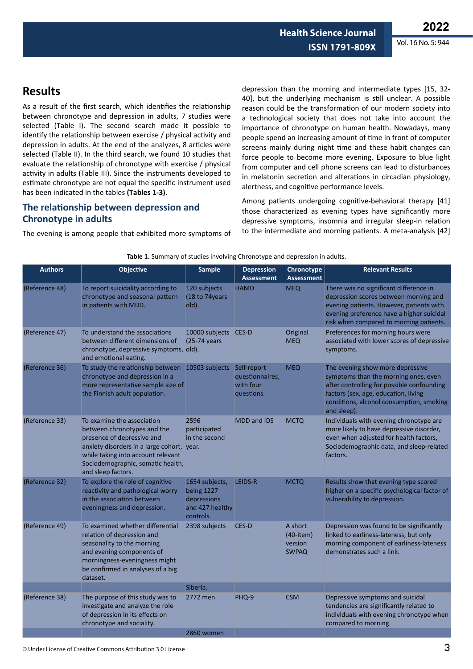# **Results**

As a result of the first search, which identifies the relationship between chronotype and depression in adults, 7 studies were selected (Table I). The second search made it possible to identify the relationship between exercise / physical activity and depression in adults. At the end of the analyzes, 8 articles were selected (Table II). In the third search, we found 10 studies that evaluate the relationship of chronotype with exercise / physical activity in adults (Table III). Since the instruments developed to estimate chronotype are not equal the specific instrument used has been indicated in the tables **(Tables 1-3)**.

### **The relationship between depression and Chronotype in adults**

The evening is among people that exhibited more symptoms of

depression than the morning and intermediate types [15, 32- 40], but the underlying mechanism is still unclear. A possible reason could be the transformation of our modern society into a technological society that does not take into account the importance of chronotype on human health. Nowadays, many people spend an increasing amount of time in front of computer screens mainly during night time and these habit changes can force people to become more evening. Exposure to blue light from computer and cell phone screens can lead to disturbances in melatonin secretion and alterations in circadian physiology, alertness, and cognitive performance levels.

Among patients undergoing cognitive-behavioral therapy [41] those characterized as evening types have significantly more depressive symptoms, insomnia and irregular sleep-in relation to the intermediate and morning patients. A meta-analysis [42]

| <b>Authors</b> | <b>Objective</b>                                                                                                                                                                                                                       | <b>Sample</b>                                                               | <b>Depression</b><br><b>Assessment</b>     | Chronotype<br><b>Assessment</b>                       | <b>Relevant Results</b>                                                                                                                                                                                                   |
|----------------|----------------------------------------------------------------------------------------------------------------------------------------------------------------------------------------------------------------------------------------|-----------------------------------------------------------------------------|--------------------------------------------|-------------------------------------------------------|---------------------------------------------------------------------------------------------------------------------------------------------------------------------------------------------------------------------------|
| (Reference 48) | To report suicidality according to<br>chronotype and seasonal pattern<br>in patients with MDD.                                                                                                                                         | 120 subjects<br>(18 to 74years)<br>old).                                    | <b>HAMD</b>                                | <b>MEQ</b>                                            | There was no significant difference in<br>depression scores between morning and<br>evening patients. However, patients with<br>evening preference have a higher suicidal<br>risk when compared to morning patients.       |
| (Reference 47) | To understand the associations<br>between different dimensions of<br>chronotype, depressive symptoms, old).<br>and emotional eating.                                                                                                   | 10000 subjects CES-D<br>$(25-74 \text{ years})$                             |                                            | Original<br><b>MEQ</b>                                | Preferences for morning hours were<br>associated with lower scores of depressive<br>symptoms.                                                                                                                             |
| (Reference 36) | To study the relationship between 10503 subjects Self-report<br>chronotype and depression in a<br>more representative sample size of<br>the Finnish adult population.                                                                  |                                                                             | questionnaires,<br>with four<br>questions. | <b>MEQ</b>                                            | The evening show more depressive<br>symptoms than the morning ones, even<br>after controlling for possible confounding<br>factors (sex, age, education, living<br>conditions, alcohol consumption, smoking<br>and sleep). |
| (Reference 33) | To examine the association<br>between chronotypes and the<br>presence of depressive and<br>anxiety disorders in a large cohort, year.<br>while taking into account relevant<br>Sociodemographic, somatic health,<br>and sleep factors. | 2596<br>participated<br>in the second                                       | <b>MDD and IDS</b>                         | <b>MCTQ</b>                                           | Individuals with evening chronotype are<br>more likely to have depressive disorder,<br>even when adjusted for health factors,<br>Sociodemographic data, and sleep-related<br>factors.                                     |
| (Reference 32) | To explore the role of cognitive<br>reactivity and pathological worry<br>in the association between<br>eveningness and depression.                                                                                                     | 1654 subjects,<br>being 1227<br>depressions<br>and 427 healthy<br>controls. | LEIDS-R                                    | <b>MCTQ</b>                                           | Results show that evening type scored<br>higher on a specific psychological factor of<br>vulnerability to depression.                                                                                                     |
| (Reference 49) | To examined whether differential<br>relation of depression and<br>seasonality to the morning<br>and evening components of<br>morningness-eveningness might<br>be confirmed in analyses of a big<br>dataset.                            | 2398 subjects                                                               | CES-D                                      | A short<br>$(40$ -item $)$<br>version<br><b>SWPAQ</b> | Depression was found to be significantly<br>linked to earliness-lateness, but only<br>morning component of earliness-lateness<br>demonstrates such a link.                                                                |
|                |                                                                                                                                                                                                                                        | Siberia.                                                                    |                                            |                                                       |                                                                                                                                                                                                                           |
| (Reference 38) | The purpose of this study was to<br>investigate and analyze the role<br>of depression in its effects on<br>chronotype and sociality.                                                                                                   | 2772 men                                                                    | PHQ-9                                      | <b>CSM</b>                                            | Depressive symptoms and suicidal<br>tendencies are significantly related to<br>individuals with evening chronotype when<br>compared to morning.                                                                           |
|                |                                                                                                                                                                                                                                        | 2860 women                                                                  |                                            |                                                       |                                                                                                                                                                                                                           |

#### **Table 1.** Summary of studies involving Chronotype and depression in adults.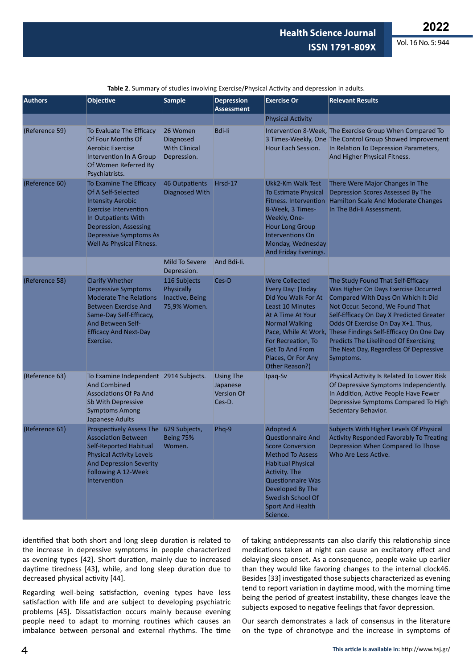**2022**

Vol. 16 No. 5: 944

| <b>Authors</b> | <b>Objective</b>                                                                                                                                                                                                        | <b>Sample</b>                                                 | <b>Depression</b><br><b>Assessment</b>                      | <b>Exercise Or</b>                                                                                                                                                                                                                                          | <b>Relevant Results</b>                                                                                                                                                                                                                                                                                                                                                           |
|----------------|-------------------------------------------------------------------------------------------------------------------------------------------------------------------------------------------------------------------------|---------------------------------------------------------------|-------------------------------------------------------------|-------------------------------------------------------------------------------------------------------------------------------------------------------------------------------------------------------------------------------------------------------------|-----------------------------------------------------------------------------------------------------------------------------------------------------------------------------------------------------------------------------------------------------------------------------------------------------------------------------------------------------------------------------------|
|                |                                                                                                                                                                                                                         |                                                               |                                                             | <b>Physical Activity</b>                                                                                                                                                                                                                                    |                                                                                                                                                                                                                                                                                                                                                                                   |
| (Reference 59) | To Evaluate The Efficacy<br>Of Four Months Of<br>Aerobic Exercise<br>Intervention In A Group<br>Of Women Referred By<br>Psychiatrists.                                                                                  | 26 Women<br>Diagnosed<br><b>With Clinical</b><br>Depression.  | <b>Bdi-li</b>                                               | Hour Each Session.                                                                                                                                                                                                                                          | Intervention 8-Week, The Exercise Group When Compared To<br>3 Times-Weekly, One The Control Group Showed Improvement<br>In Relation To Depression Parameters,<br>And Higher Physical Fitness.                                                                                                                                                                                     |
| (Reference 60) | To Examine The Efficacy<br>Of A Self-Selected<br><b>Intensity Aerobic</b><br><b>Exercise Intervention</b><br>In Outpatients With<br>Depression, Assessing<br><b>Depressive Symptoms As</b><br>Well As Physical Fitness. | 46 Outpatients<br><b>Diagnosed With</b>                       | Hrsd-17                                                     | Ukk2-Km Walk Test<br><b>To Estimate Physical</b><br>8-Week, 3 Times-<br>Weekly, One-<br><b>Hour Long Group</b><br><b>Interventions On</b><br>Monday, Wednesday<br>And Friday Evenings.                                                                      | There Were Major Changes In The<br>Depression Scores Assessed By The<br>Fitness. Intervention Hamilton Scale And Moderate Changes<br>In The Bdi-Ii Assessment.                                                                                                                                                                                                                    |
|                |                                                                                                                                                                                                                         | Mild To Severe<br>Depression.                                 | And Bdi-li.                                                 |                                                                                                                                                                                                                                                             |                                                                                                                                                                                                                                                                                                                                                                                   |
| (Reference 58) | <b>Clarify Whether</b><br><b>Depressive Symptoms</b><br><b>Moderate The Relations</b><br><b>Between Exercise And</b><br>Same-Day Self-Efficacy,<br>And Between Self-<br><b>Efficacy And Next-Day</b><br>Exercise.       | 116 Subjects<br>Physically<br>Inactive, Being<br>75,9% Women. | Ces-D                                                       | <b>Were Collected</b><br>Every Day: (Today<br>Did You Walk For At<br>Least 10 Minutes<br>At A Time At Your<br><b>Normal Walking</b><br>Pace, While At Work,<br>For Recreation, To<br><b>Get To And From</b><br>Places, Or For Any<br>Other Reason?)         | The Study Found That Self-Efficacy<br>Was Higher On Days Exercise Occurred<br>Compared With Days On Which It Did<br>Not Occur. Second, We Found That<br>Self-Efficacy On Day X Predicted Greater<br>Odds Of Exercise On Day X+1. Thus,<br>These Findings Self-Efficacy On One Day<br>Predicts The Likelihood Of Exercising<br>The Next Day, Regardless Of Depressive<br>Symptoms. |
| (Reference 63) | To Examine Independent 2914 Subjects.<br><b>And Combined</b><br><b>Associations Of Pa And</b><br>Sb With Depressive<br><b>Symptoms Among</b><br>Japanese Adults                                                         |                                                               | <b>Using The</b><br>Japanese<br><b>Version Of</b><br>Ces-D. | Ipaq-Sv                                                                                                                                                                                                                                                     | Physical Activity Is Related To Lower Risk<br>Of Depressive Symptoms Independently.<br>In Addition, Active People Have Fewer<br>Depressive Symptoms Compared To High<br>Sedentary Behavior.                                                                                                                                                                                       |
| (Reference 61) | Prospectively Assess The 629 Subjects,<br><b>Association Between</b><br><b>Self-Reported Habitual</b><br><b>Physical Activity Levels</b><br><b>And Depression Severity</b><br>Following A 12-Week<br>Intervention       | Being 75%<br>Women.                                           | Phq-9                                                       | <b>Adopted A</b><br><b>Questionnaire And</b><br><b>Score Conversion</b><br><b>Method To Assess</b><br><b>Habitual Physical</b><br>Activity. The<br><b>Questionnaire Was</b><br>Developed By The<br>Swedish School Of<br><b>Sport And Health</b><br>Science. | Subjects With Higher Levels Of Physical<br>Activity Responded Favorably To Treating<br>Depression When Compared To Those<br>Who Are Less Active.                                                                                                                                                                                                                                  |

**Table 2**. Summary of studies involving Exercise/Physical Activity and depression in adults.

identified that both short and long sleep duration is related to the increase in depressive symptoms in people characterized as evening types [42]. Short duration, mainly due to increased daytime tiredness [43], while, and long sleep duration due to decreased physical activity [44].

Regarding well-being satisfaction, evening types have less satisfaction with life and are subject to developing psychiatric problems [45]. Dissatisfaction occurs mainly because evening people need to adapt to morning routines which causes an imbalance between personal and external rhythms. The time

of taking antidepressants can also clarify this relationship since medications taken at night can cause an excitatory effect and delaying sleep onset. As a consequence, people wake up earlier than they would like favoring changes to the internal clock46. Besides [33] investigated those subjects characterized as evening tend to report variation in daytime mood, with the morning time being the period of greatest instability, these changes leave the subjects exposed to negative feelings that favor depression.

Our search demonstrates a lack of consensus in the literature on the type of chronotype and the increase in symptoms of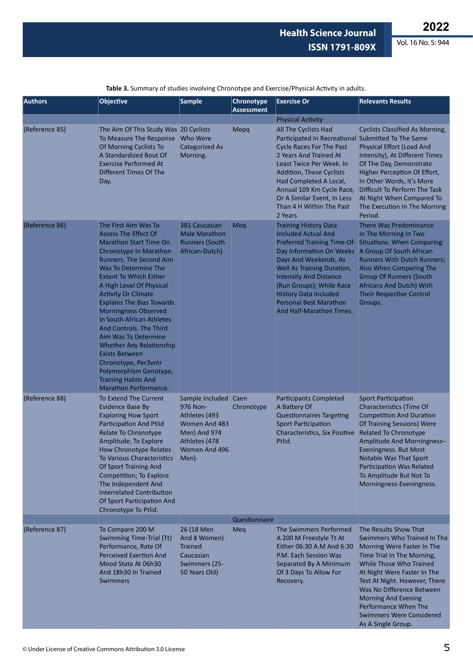Vol. 16 No. 5: 944

| <b>Authors</b> | <b>Objective</b>                                                                                                                                                                                                                                                                                                                                                                                                                                                                                                                                                              | <b>Sample</b>                                                                                                                 | <b>Chronotype</b><br><b>Assessment</b> | <b>Exercise Or</b>                                                                                                                                                                                                                                                                                                               | <b>Relevants Results</b>                                                                                                                                                                                                                                                                                                                                |
|----------------|-------------------------------------------------------------------------------------------------------------------------------------------------------------------------------------------------------------------------------------------------------------------------------------------------------------------------------------------------------------------------------------------------------------------------------------------------------------------------------------------------------------------------------------------------------------------------------|-------------------------------------------------------------------------------------------------------------------------------|----------------------------------------|----------------------------------------------------------------------------------------------------------------------------------------------------------------------------------------------------------------------------------------------------------------------------------------------------------------------------------|---------------------------------------------------------------------------------------------------------------------------------------------------------------------------------------------------------------------------------------------------------------------------------------------------------------------------------------------------------|
|                |                                                                                                                                                                                                                                                                                                                                                                                                                                                                                                                                                                               |                                                                                                                               |                                        | <b>Physical Activity</b>                                                                                                                                                                                                                                                                                                         |                                                                                                                                                                                                                                                                                                                                                         |
| (Reference 85) | The Aim Of This Study Was 20 Cyclists<br>To Measure The Response<br>Of Morning Cyclists To<br>A Standardized Bout Of<br><b>Exercise Performed At</b><br>Different Times Of The<br>Day.                                                                                                                                                                                                                                                                                                                                                                                        | Who Were<br><b>Categorized As</b><br>Morning.                                                                                 | Mepq                                   | All The Cyclists Had<br>Participated In Recreational Submitted To The Same<br><b>Cycle Races For The Past</b><br>2 Years And Trained At<br>Least Twice Per Week. In<br>Addition, These Cyclists<br>Had Completed A Local,<br>Annual 109 Km Cycle Race,<br>Or A Similar Event, In Less<br>Than 4 H Within The Past<br>2 Years     | <b>Cyclists Classified As Morning,</b><br><b>Physical Effort (Load And</b><br>Intensity), At Different Times<br>Of The Day, Demonstrate<br>Higher Perception Of Effort,<br>In Other Words, It's More<br>Difficult To Perform The Task<br>At Night When Compared To<br>The Execution In The Morning<br>Period.                                           |
| (Reference 86) | The First Aim Was To<br><b>Assess The Effect Of</b><br><b>Marathon Start Time On</b><br>Chronotype In Marathon<br>Runners. The Second Aim<br>Was To Determine The<br><b>Extent To Which Either</b><br>A High Level Of Physical<br><b>Activity Or Climate</b><br><b>Explains The Bias Towards</b><br><b>Morningness Observed</b><br>In South African Athletes<br>And Controls. The Third<br>Aim Was To Determine<br>Whether Any Relationship<br><b>Exists Between</b><br>Chronotype, Per3vntr<br>Polymorphism Genotype,<br><b>Training Habits And</b><br>Marathon Performance. | 381 Caucasian<br><b>Male Marathon</b><br><b>Runners (South</b><br>African-Dutch)                                              | Meg                                    | <b>Training History Data</b><br><b>Included Actual And</b><br>Day Information On Weeks A Group Of South African<br>Days And Weekends, As<br>Well As Training Duration,<br><b>Intensity And Distance</b><br>(Run Groups); While Race<br><b>History Data Included</b><br><b>Personal Best Marathon</b><br>And Half-Marathon Times. | There Was Predominance<br>In The Morning In Two<br>Preferred Training Time-Of- Situations. When Comparing<br><b>Runners With Dutch Runners;</b><br>Also When Comparing The<br><b>Group Of Runners (South</b><br>Africans And Dutch) With<br><b>Their Respective Control</b><br>Groups.                                                                  |
| (Reference 88) | To Extend The Current<br><b>Evidence Base By</b><br><b>Exploring How Sport</b><br><b>Participation And Ptlid</b><br>Relate To Chronotype<br>Amplitude; To Explore<br>How Chronotype Relates<br><b>To Various Characteristics</b><br>Of Sport Training And<br>Competition; To Explore<br>The Independent And<br><b>Interrelated Contribution</b><br>Of Sport Participation And<br>Chronotype To Ptlid.                                                                                                                                                                         | Sample Included Caen<br>976 Non-<br>Athletes (493<br>Women And 483<br>Men) And 974<br>Athletes (478<br>Women And 496<br>Men). | Chronotype                             | <b>Participants Completed</b><br>A Battery Of<br><b>Questionnaires Targeting</b><br><b>Sport Participation</b><br><b>Characteristics, Six Positive</b><br>Ptlid.                                                                                                                                                                 | <b>Sport Participation</b><br>Characteristics (Time Of<br><b>Competition And Duration</b><br>Of Training Sessions) Were<br><b>Related To Chronotype</b><br>Amplitude And Morningness-<br>Eveningness. But Most<br>Notable Was That Sport<br>Participation Was Related<br>To Amplitude But Not To<br>Morningness-Eveningness.                            |
|                |                                                                                                                                                                                                                                                                                                                                                                                                                                                                                                                                                                               |                                                                                                                               | Questionnaire                          |                                                                                                                                                                                                                                                                                                                                  |                                                                                                                                                                                                                                                                                                                                                         |
| (Reference 87) | To Compare 200 M<br>Swimming Time-Trial (Tt)<br>Performance, Rate Of<br><b>Perceived Exertion And</b><br>Mood State At 06h30<br>And 18h30 In Trained<br><b>Swimmers</b>                                                                                                                                                                                                                                                                                                                                                                                                       | 26 (18 Men<br>And 8 Women)<br><b>Trained</b><br>Caucasian<br>Swimmers (25-<br>50 Years Old)                                   | Meq                                    | The Swimmers Performed<br>A 200 M Freestyle Tt At<br>Either 06:30 A.M And 6:30<br>P.M. Each Session Was<br>Separated By A Minimum<br>Of 3 Days To Allow For<br>Recovery.                                                                                                                                                         | The Results Show That<br>Swimmers Who Trained In The<br>Morning Were Faster In The<br>Time Trial In The Morning,<br>While Those Who Trained<br>At Night Were Faster In The<br>Test At Night. However, There<br>Was No Difference Between<br><b>Morning And Evening</b><br>Performance When The<br><b>Swimmers Were Considered</b><br>As A Single Group. |

**Table 3.** Summary of studies involving Chronotype and Exercise/Physical Activity in adults.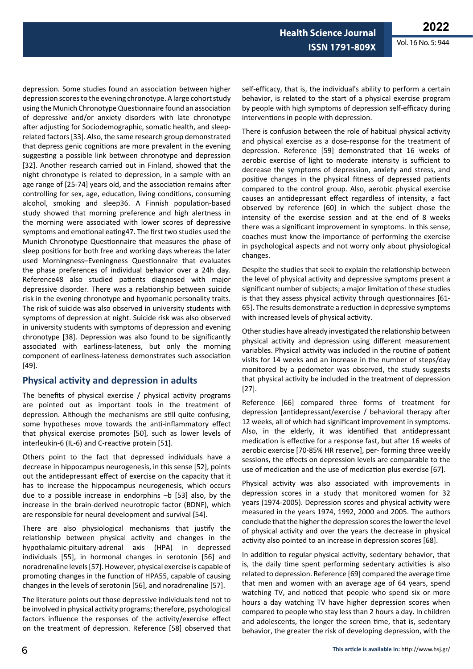**Health Science Journal ISSN 1791-809X**

depression. Some studies found an association between higher depression scores to the evening chronotype. A large cohort study using the Munich Chronotype Questionnaire found an association of depressive and/or anxiety disorders with late chronotype after adjusting for Sociodemographic, somatic health, and sleeprelated factors [33]. Also, the same research group demonstrated that depress genic cognitions are more prevalent in the evening suggesting a possible link between chronotype and depression [32]. Another research carried out in Finland, showed that the night chronotype is related to depression, in a sample with an age range of [25-74] years old, and the association remains after controlling for sex, age, education, living conditions, consuming alcohol, smoking and sleep36. A Finnish population-based study showed that morning preference and high alertness in the morning were associated with lower scores of depressive symptoms and emotional eating47. The first two studies used the Munich Chronotype Questionnaire that measures the phase of sleep positions for both free and working days whereas the later used Morningness–Eveningness Questionnaire that evaluates the phase preferences of individual behavior over a 24h day. Reference48 also studied patients diagnosed with major depressive disorder. There was a relationship between suicide risk in the evening chronotype and hypomanic personality traits. The risk of suicide was also observed in university students with symptoms of depression at night. Suicide risk was also observed in university students with symptoms of depression and evening chronotype [38]. Depression was also found to be significantly associated with earliness-lateness, but only the morning component of earliness-lateness demonstrates such association [49].

### **Physical activity and depression in adults**

The benefits of physical exercise / physical activity programs are pointed out as important tools in the treatment of depression. Although the mechanisms are still quite confusing, some hypotheses move towards the anti-inflammatory effect that physical exercise promotes [50], such as lower levels of interleukin-6 (IL-6) and C-reactive protein [51].

Others point to the fact that depressed individuals have a decrease in hippocampus neurogenesis, in this sense [52], points out the antidepressant effect of exercise on the capacity that it has to increase the hippocampus neurogenesis, which occurs due to a possible increase in endorphins  $-b$  [53] also, by the increase in the brain-derived neurotropic factor (BDNF), which are responsible for neural development and survival [54].

There are also physiological mechanisms that justify the relationship between physical activity and changes in the hypothalamic-pituitary-adrenal axis (HPA) in depressed individuals [55], in hormonal changes in serotonin [56] and noradrenaline levels [57]. However, physical exercise is capable of promoting changes in the function of HPA55, capable of causing changes in the levels of serotonin [56], and noradrenaline [57].

The literature points out those depressive individuals tend not to be involved in physical activity programs; therefore, psychological factors influence the responses of the activity/exercise effect on the treatment of depression. Reference [58] observed that self-efficacy, that is, the individual's ability to perform a certain behavior, is related to the start of a physical exercise program by people with high symptoms of depression self-efficacy during interventions in people with depression.

There is confusion between the role of habitual physical activity and physical exercise as a dose-response for the treatment of depression. Reference [59] demonstrated that 16 weeks of aerobic exercise of light to moderate intensity is sufficient to decrease the symptoms of depression, anxiety and stress, and positive changes in the physical fitness of depressed patients compared to the control group. Also, aerobic physical exercise causes an antidepressant effect regardless of intensity, a fact observed by reference [60] in which the subject chose the intensity of the exercise session and at the end of 8 weeks there was a significant improvement in symptoms. In this sense, coaches must know the importance of performing the exercise in psychological aspects and not worry only about physiological changes.

Despite the studies that seek to explain the relationship between the level of physical activity and depressive symptoms present a significant number of subjects; a major limitation of these studies is that they assess physical activity through questionnaires [61- 65]. The results demonstrate a reduction in depressive symptoms with increased levels of physical activity.

Other studies have already investigated the relationship between physical activity and depression using different measurement variables. Physical activity was included in the routine of patient visits for 14 weeks and an increase in the number of steps/day monitored by a pedometer was observed, the study suggests that physical activity be included in the treatment of depression [27].

Reference [66] compared three forms of treatment for depression [antidepressant/exercise / behavioral therapy after 12 weeks, all of which had significant improvement in symptoms. Also, in the elderly, it was identified that antidepressant medication is effective for a response fast, but after 16 weeks of aerobic exercise [70-85% HR reserve], per- forming three weekly sessions, the effects on depression levels are comparable to the use of medication and the use of medication plus exercise [67].

Physical activity was also associated with improvements in depression scores in a study that monitored women for 32 years (1974-2005). Depression scores and physical activity were measured in the years 1974, 1992, 2000 and 2005. The authors conclude that the higher the depression scores the lower the level of physical activity and over the years the decrease in physical activity also pointed to an increase in depression scores [68].

In addition to regular physical activity, sedentary behavior, that is, the daily time spent performing sedentary activities is also related to depression. Reference [69] compared the average time that men and women with an average age of 64 years, spend watching TV, and noticed that people who spend six or more hours a day watching TV have higher depression scores when compared to people who stay less than 2 hours a day. In children and adolescents, the longer the screen time, that is, sedentary behavior, the greater the risk of developing depression, with the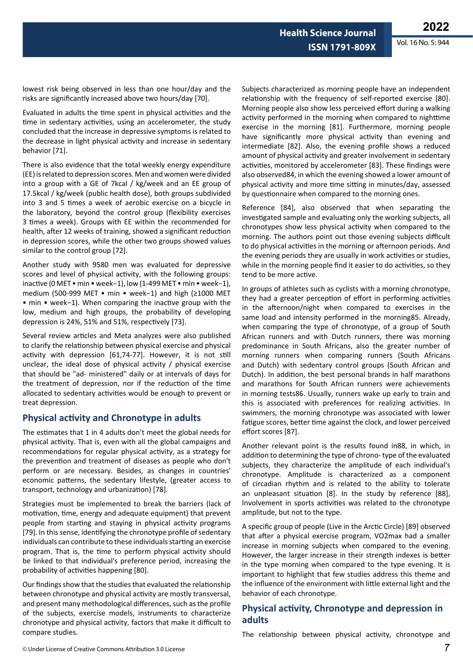lowest risk being observed in less than one hour/day and the risks are significantly increased above two hours/day [70].

Evaluated in adults the time spent in physical activities and the time in sedentary activities, using an accelerometer, the study concluded that the increase in depressive symptoms is related to the decrease in light physical activity and increase in sedentary behavior [71].

There is also evidence that the total weekly energy expenditure (EE) is related to depression scores. Men and women were divided into a group with a GE of 7kcal / kg/week and an EE group of 17.5kcal / kg/week (public health dose), both groups subdivided into 3 and 5 times a week of aerobic exercise on a bicycle in the laboratory, beyond the control group (flexibility exercises 3 times a week). Groups with EE within the recommended for health, after 12 weeks of training, showed a significant reduction in depression scores, while the other two groups showed values similar to the control group [72].

Another study with 9580 men was evaluated for depressive scores and level of physical activity, with the following groups: inactive (0 MET • min • week−1), low (1-499 MET • min • week−1), medium (500-999 MET • min • week−1) and high (≥1000 MET • min • week−1). When comparing the inactive group with the low, medium and high groups, the probability of developing depression is 24%, 51% and 51%, respectively [73].

Several review articles and Meta analyzes were also published to clarify the relationship between physical exercise and physical activity with depression [61,74-77]. However, it is not still unclear, the ideal dose of physical activity / physical exercise that should be "ad- ministered" daily or at intervals of days for the treatment of depression, nor if the reduction of the time allocated to sedentary activities would be enough to prevent or treat depression.

### **Physical activity and Chronotype in adults**

The estimates that 1 in 4 adults don't meet the global needs for physical activity. That is, even with all the global campaigns and recommendations for regular physical activity, as a strategy for the prevention and treatment of diseases as people who don't perform or are necessary. Besides, as changes in countries' economic patterns, the sedentary lifestyle, (greater access to transport, technology and urbanization) [78].

Strategies must be implemented to break the barriers (lack of motivation, time, energy and adequate equipment) that prevent people from starting and staying in physical activity programs [79]. In this sense, identifying the chronotype profile of sedentary individuals can contribute to these individuals starting an exercise program. That is, the time to perform physical activity should be linked to that individual's preference period, increasing the probability of activities happening [80].

Our findings show that the studies that evaluated the relationship between chronotype and physical activity are mostly transversal, and present many methodological differences, such as the profile of the subjects, exercise models, instruments to characterize chronotype and physical activity, factors that make it difficult to compare studies.

Subjects characterized as morning people have an independent relationship with the frequency of self-reported exercise [80]. Morning people also show less perceived effort during a walking activity performed in the morning when compared to nighttime exercise in the morning [81]. Furthermore, morning people have significantly more physical activity than evening and intermediate [82]. Also, the evening profile shows a reduced amount of physical activity and greater involvement in sedentary activities, monitored by accelerometer [83]. These findings were also observed84, in which the evening showed a lower amount of physical activity and more time sitting in minutes/day, assessed by questionnaire when compared to the morning ones.

Reference [84], also observed that when separating the investigated sample and evaluating only the working subjects, all chronotypes show less physical activity when compared to the morning. The authors point out those evening subjects difficult to do physical activities in the morning or afternoon periods. And the evening periods they are usually in work activities or studies, while in the morning people find it easier to do activities, so they tend to be more active.

In groups of athletes such as cyclists with a morning chronotype, they had a greater perception of effort in performing activities in the afternoon/night when compared to exercises in the same load and intensity performed in the morning85. Already, when comparing the type of chronotype, of a group of South African runners and with Dutch runners, there was morning predominance in South Africans, also the greater number of morning runners when comparing runners (South Africans and Dutch) with sedentary control groups (South African and Dutch). In addition, the best personal brands in half marathons and marathons for South African runners were achievements in morning tests86. Usually, runners wake up early to train and this is associated with preferences for realizing activities. In swimmers, the morning chronotype was associated with lower fatigue scores, better time against the clock, and lower perceived effort scores [87].

Another relevant point is the results found in88, in which, in addition to determining the type of chrono- type of the evaluated subjects, they characterize the amplitude of each individual's chronotype. Amplitude is characterized as a component of circadian rhythm and is related to the ability to tolerate an unpleasant situation [8]. In the study by reference [88], Involvement in sports activities was related to the chronotype amplitude, but not to the type.

A specific group of people (Live in the Arctic Circle) [89] observed that after a physical exercise program, VO2max had a smaller increase in morning subjects when compared to the evening. However, the larger increase in their strength indexes is better in the type morning when compared to the type evening. It is important to highlight that few studies address this theme and the influence of the environment with little external light and the behavior of each chronotype.

### **Physical activity, Chronotype and depression in adults**

The relationship between physical activity, chronotype and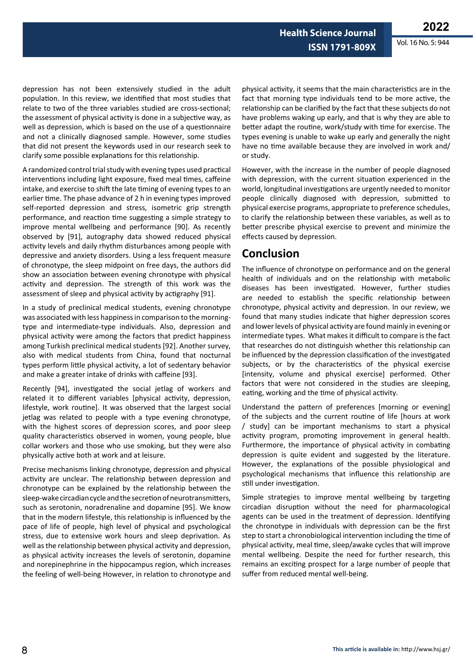**Health Science Journal ISSN 1791-809X**

depression has not been extensively studied in the adult population. In this review, we identified that most studies that relate to two of the three variables studied are cross-sectional; the assessment of physical activity is done in a subjective way, as well as depression, which is based on the use of a questionnaire and not a clinically diagnosed sample. However, some studies that did not present the keywords used in our research seek to clarify some possible explanations for this relationship.

A randomized control trial study with evening types used practical interventions including light exposure, fixed meal times, caffeine intake, and exercise to shift the late timing of evening types to an earlier time. The phase advance of 2 h in evening types improved self-reported depression and stress, isometric grip strength performance, and reaction time suggesting a simple strategy to improve mental wellbeing and performance [90]. As recently observed by [91], autography data showed reduced physical activity levels and daily rhythm disturbances among people with depressive and anxiety disorders. Using a less frequent measure of chronotype, the sleep midpoint on free days, the authors did show an association between evening chronotype with physical activity and depression. The strength of this work was the assessment of sleep and physical activity by actigraphy [91].

In a study of preclinical medical students, evening chronotype was associated with less happiness in comparison to the morningtype and intermediate-type individuals. Also, depression and physical activity were among the factors that predict happiness among Turkish preclinical medical students [92]. Another survey, also with medical students from China, found that nocturnal types perform little physical activity, a lot of sedentary behavior and make a greater intake of drinks with caffeine [93].

Recently [94], investigated the social jetlag of workers and related it to different variables [physical activity, depression, lifestyle, work routine]. It was observed that the largest social jetlag was related to people with a type evening chronotype, with the highest scores of depression scores, and poor sleep quality characteristics observed in women, young people, blue collar workers and those who use smoking, but they were also physically active both at work and at leisure.

Precise mechanisms linking chronotype, depression and physical activity are unclear. The relationship between depression and chronotype can be explained by the relationship between the sleep-wake circadian cycle and the secretion of neurotransmitters, such as serotonin, noradrenaline and dopamine [95]. We know that in the modern lifestyle, this relationship is influenced by the pace of life of people, high level of physical and psychological stress, due to extensive work hours and sleep deprivation. As well as the relationship between physical activity and depression, as physical activity increases the levels of serotonin, dopamine and norepinephrine in the hippocampus region, which increases the feeling of well-being However, in relation to chronotype and

physical activity, it seems that the main characteristics are in the fact that morning type individuals tend to be more active, the relationship can be clarified by the fact that these subjects do not have problems waking up early, and that is why they are able to better adapt the routine, work/study with time for exercise. The types evening is unable to wake up early and generally the night have no time available because they are involved in work and/ or study.

However, with the increase in the number of people diagnosed with depression, with the current situation experienced in the world, longitudinal investigations are urgently needed to monitor people clinically diagnosed with depression, submitted to physical exercise programs, appropriate to preference schedules, to clarify the relationship between these variables, as well as to better prescribe physical exercise to prevent and minimize the effects caused by depression.

## **Conclusion**

The influence of chronotype on performance and on the general health of individuals and on the relationship with metabolic diseases has been investigated. However, further studies are needed to establish the specific relationship between chronotype, physical activity and depression. In our review, we found that many studies indicate that higher depression scores and lower levels of physical activity are found mainly in evening or intermediate types. What makes it difficult to compare is the fact that researches do not distinguish whether this relationship can be influenced by the depression classification of the investigated subjects, or by the characteristics of the physical exercise [intensity, volume and physical exercise] performed. Other factors that were not considered in the studies are sleeping, eating, working and the time of physical activity.

Understand the pattern of preferences [morning or evening] of the subjects and the current routine of life [hours at work / study] can be important mechanisms to start a physical activity program, promoting improvement in general health. Furthermore, the importance of physical activity in combating depression is quite evident and suggested by the literature. However, the explanations of the possible physiological and psychological mechanisms that influence this relationship are still under investigation.

Simple strategies to improve mental wellbeing by targeting circadian disruption without the need for pharmacological agents can be used in the treatment of depression. Identifying the chronotype in individuals with depression can be the first step to start a chronobiological intervention including the time of physical activity, meal time, sleep/awake cycles that will improve mental wellbeing. Despite the need for further research, this remains an exciting prospect for a large number of people that suffer from reduced mental well-being.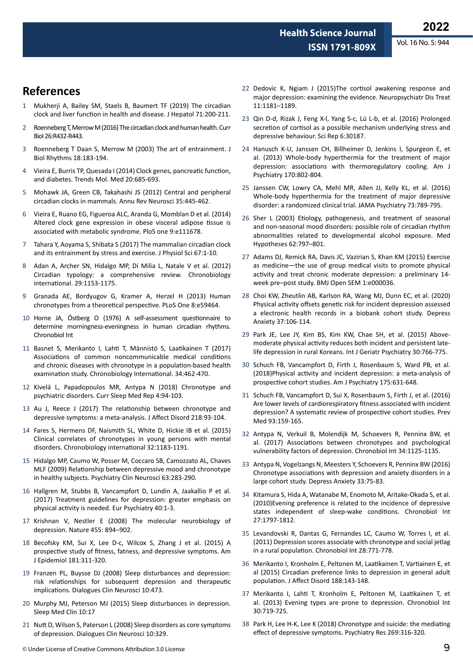**Health Science Journal**

### **References**

- 1 Mukherji A, Bailey SM, Staels B, Baumert TF (2019) [The circadian](https://www.journal-of-hepatology.eu/article/S0168-8278(19)30191-6/fulltext)  [clock and liver function in health and disease](https://www.journal-of-hepatology.eu/article/S0168-8278(19)30191-6/fulltext). J Hepatol 71:200-211.
- 2 Roenneberg T, Merrow M (2016) [The circadian clock and human health.](https://www.cell.com/current-biology/fulltext/S0960-9822(16)30333-5?_returnURL=https%3A%2F%2Flinkinghub.elsevier.com%2Fretrieve%2Fpii%2FS0960982216303335%3Fshowall%3Dtrue) Curr Biol 26:R432-R443.
- 3 Roenneberg T Daan S, Merrow M (2003) [The art of entrainment.](https://journals.sagepub.com/doi/10.1177/0748730403018003001) J Biol Rhythms 18:183-194.
- 4 Vieira E, Burris TP, Quesada I (2014) [Clock genes, pancreatic function,](https://www.cell.com/trends/molecular-medicine/fulltext/S1471-4914(14)00174-9?_returnURL=https%3A%2F%2Flinkinghub.elsevier.com%2Fretrieve%2Fpii%2FS1471491414001749%3Fshowall%3Dtrue)  [and diabetes.](https://www.cell.com/trends/molecular-medicine/fulltext/S1471-4914(14)00174-9?_returnURL=https%3A%2F%2Flinkinghub.elsevier.com%2Fretrieve%2Fpii%2FS1471491414001749%3Fshowall%3Dtrue) Trends Mol. Med 20:685-693.
- 5 Mohawk JA, Green CB, Takahashi JS (2012) [Central and peripheral](https://www.annualreviews.org/doi/10.1146/annurev-neuro-060909-153128)  [circadian clocks in mammals.](https://www.annualreviews.org/doi/10.1146/annurev-neuro-060909-153128) Annu Rev Neurosci 35:445-462.
- 6 Vieira E, Ruano EG, Figueroa ALC, Aranda G, Momblan D et al. (2014) [Altered clock gene expression in obese visceral adipose tissue is](https://journals.plos.org/plosone/article?id=10.1371/journal.pone.0111678)  [associated with metabolic syndrome.](https://journals.plos.org/plosone/article?id=10.1371/journal.pone.0111678) PloS one 9:e111678.
- 7 Tahara Y, Aoyama S, Shibata S (2017) [The mammalian circadian clock](https://link.springer.com/article/10.1007/s12576-016-0450-7)  [and its entrainment by stress and exercise](https://link.springer.com/article/10.1007/s12576-016-0450-7). J Physiol Sci 67:1-10.
- 8 Adan A, Archer SN, Hidalgo MP, Di Milia L, Natale V et al. (2012) [Circadian typology: a comprehensive review.](https://www.tandfonline.com/doi/abs/10.3109/07420528.2012.719971?journalCode=icbi20) Chronobiology international. 29:1153-1175.
- 9 Granada AE, Bordyugov G, Kramer A, Herzel H (2013) [Human](https://journals.plos.org/plosone/article?id=10.1371/journal.pone.0059464)  [chronotypes from a theoretical perspective.](https://journals.plos.org/plosone/article?id=10.1371/journal.pone.0059464) PLoS One 8:e59464.
- 10 Horne JA, Östberg O (1976) [A self-assessment questionnaire to](https://www.researchgate.net/publication/22126774_A_Self_Assessment_Questionnaire_to_Determine_Morningness_Eveningness_in_Human_Circadian_Rhythms)  [determine morningness-eveningness in human circadian rhythms](https://www.researchgate.net/publication/22126774_A_Self_Assessment_Questionnaire_to_Determine_Morningness_Eveningness_in_Human_Circadian_Rhythms). Chronobiol Int
- 11 Basnet S, Merikanto I, Lahti T, Männistö S, Laatikainen T (2017) [Associations of common noncommunicable medical conditions](https://www.researchgate.net/publication/314656097_Associations_of_common_noncommunicable_medical_conditions_and_chronic_diseases_with_chronotype_in_a_population-based_health_examination_study)  [and chronic diseases with chronotype in a population-based health](https://www.researchgate.net/publication/314656097_Associations_of_common_noncommunicable_medical_conditions_and_chronic_diseases_with_chronotype_in_a_population-based_health_examination_study)  [examination study](https://www.researchgate.net/publication/314656097_Associations_of_common_noncommunicable_medical_conditions_and_chronic_diseases_with_chronotype_in_a_population-based_health_examination_study). Chronobiology International. 34:462-470.
- 12 Kivelä L, Papadopoulos MR, Antypa N (2018) [Chronotype and](https://link.springer.com/article/10.1007/s40675-018-0113-8)  [psychiatric disorders](https://link.springer.com/article/10.1007/s40675-018-0113-8). Curr Sleep Med Rep 4:94-103.
- 13 Au J, Reece J (2017) [The relationship between chronotype and](https://www.sciencedirect.com/science/article/abs/pii/S0165032716319176?via%3Dihub)  [depressive symptoms: a meta-analysis](https://www.sciencedirect.com/science/article/abs/pii/S0165032716319176?via%3Dihub). J Affect Disord 218:93-104.
- 14 Fares S, Hermens DF, Naismith SL, White D, Hickie IB et al. (2015) [Clinical correlates of chronotypes in young persons with mental](https://www.tandfonline.com/doi/abs/10.3109/07420528.2015.1078346?journalCode=icbi20)  [disorders](https://www.tandfonline.com/doi/abs/10.3109/07420528.2015.1078346?journalCode=icbi20). Chronobiology international 32:1183-1191.
- 15 Hidalgo MP, Caumo W, Posser M, Coccaro SB, Camozzato AL, Chaves MLF (2009) [Relationship between depressive mood and chronotype](https://onlinelibrary.wiley.com/doi/10.1111/j.1440-1819.2009.01965.x)  [in healthy subjects.](https://onlinelibrary.wiley.com/doi/10.1111/j.1440-1819.2009.01965.x) Psychiatry Clin Neurosci 63:283-290.
- 16 Hallgren M, Stubbs B, Vancampfort D, Lundin A, Jaakallio P et al. (2017) [Treatment guidelines for depression: greater emphasis on](https://www.cambridge.org/core/journals/european-psychiatry/article/abs/treatment-guidelines-for-depression-greater-emphasis-on-physical-activity-is-needed/B55CDB37855B30B18EE991B59CBAEC4A)  [physical activity is needed](https://www.cambridge.org/core/journals/european-psychiatry/article/abs/treatment-guidelines-for-depression-greater-emphasis-on-physical-activity-is-needed/B55CDB37855B30B18EE991B59CBAEC4A). Eur Psychiatry 40:1-3.
- 17 Krishnan V, Nestler E (2008) [The molecular neurobiology of](https://www.nature.com/articles/nature07455)  [depression.](https://www.nature.com/articles/nature07455) Nature 455: 894–902.
- 18 Becofsky KM, Sui X, Lee D-c, Wilcox S, Zhang J et al. (2015) A prospective study of fitness, fatness, and depressive symptoms. Am J Epidemiol 181:311-320.
- 19 Franzen PL, Buysse DJ (2008) [Sleep disturbances and depression:](https://www.tandfonline.com/doi/full/10.31887/DCNS.2008.10.4/plfranzen)  [risk relationships for subsequent depression and therapeutic](https://www.tandfonline.com/doi/full/10.31887/DCNS.2008.10.4/plfranzen)  [implications.](https://www.tandfonline.com/doi/full/10.31887/DCNS.2008.10.4/plfranzen) Dialogues Clin Neurosci 10:473.
- 20 Murphy MJ, Peterson MJ (2015) [Sleep disturbances in depression](https://linkinghub.elsevier.com/retrieve/pii/S1556407X1400126X). Sleep Med Clin 10:17
- 21 Nutt D, Wilson S, Paterson L (2008) [Sleep disorders as core symptoms](https://www.tandfonline.com/doi/full/10.31887/DCNS.2008.10.3/dnutt)  [of depression](https://www.tandfonline.com/doi/full/10.31887/DCNS.2008.10.3/dnutt). Dialogues Clin Neurosci 10:329.
- 22 Dedovic K, Ngiam J (2015)[The cortisol awakening response and](https://psycnet.apa.org/record/2015-23511-001)  [major depression: examining the evidence.](https://psycnet.apa.org/record/2015-23511-001) Neuropsychiatr Dis Treat 11:1181–1189.
- 23 Qin D-d, Rizak J, Feng X-l, Yang S-c, Lü L-b, et al. (2016) [Prolonged](https://www.nature.com/articles/srep30187)  [secretion of cortisol as a possible mechanism underlying stress and](https://www.nature.com/articles/srep30187)  [depressive behaviour.](https://www.nature.com/articles/srep30187) Sci Rep 6:30187.
- 24 Hanusch K-U, Janssen CH, Billheimer D, Jenkins I, Spurgeon E, et al. (2013) [Whole-body hyperthermia for the treatment of major](https://ajp.psychiatryonline.org/doi/full/10.1176/appi.ajp.2013.12111395)  [depression: associations with thermoregulatory cooling](https://ajp.psychiatryonline.org/doi/full/10.1176/appi.ajp.2013.12111395). Am J Psychiatry 170:802-804.
- 25 Janssen CW, Lowry CA, Mehl MR, Allen JJ, Kelly KL, et al. (2016) [Whole-body hyperthermia for the treatment of major depressive](https://www.researchgate.net/publication/303028575_Whole-Body_Hyperthermia_for_the_Treatment_of_Major_Depressive_Disorder_A_Randomized_Clinical_Trial)  [disorder: a randomized clinical trial.](https://www.researchgate.net/publication/303028575_Whole-Body_Hyperthermia_for_the_Treatment_of_Major_Depressive_Disorder_A_Randomized_Clinical_Trial) JAMA Psychiatry 73:789-795.
- 26 Sher L (2003) [Etiology, pathogenesis, and treatment of seasonal](https://www.sciencedirect.com/science/article/abs/pii/S0306987704000398)  [and non-seasonal mood disorders: possible role of circadian rhythm](https://www.sciencedirect.com/science/article/abs/pii/S0306987704000398)  [abnormalities related to developmental alcohol exposure.](https://www.sciencedirect.com/science/article/abs/pii/S0306987704000398) Med Hypotheses 62:797–801.
- 27 Adams DJ, Remick RA, Davis JC, Vazirian S, Khan KM (2015) [Exercise](https://bmjopensem.bmj.com/content/1/1/e000036.abstract)  [as medicine—the use of group medical visits to promote physical](https://bmjopensem.bmj.com/content/1/1/e000036.abstract)  [activity and treat chronic moderate depression: a preliminary 14](https://bmjopensem.bmj.com/content/1/1/e000036.abstract) [week pre–post study](https://bmjopensem.bmj.com/content/1/1/e000036.abstract). BMJ Open SEM 1:e000036.
- 28 Choi KW, Zheutlin AB, Karlson RA, Wang MJ, Dunn EC, et al. (2020) [Physical activity offsets genetic risk for incident depression assessed](https://onlinelibrary.wiley.com/doi/abs/10.1002/da.22967)  [a electronic health records in a biobank cohort study.](https://onlinelibrary.wiley.com/doi/abs/10.1002/da.22967) Depress Anxiety 37:106-114.
- 29 Park JE, Lee JY, Kim BS, Kim KW, Chae SH, et al. (2015) [Above‐](https://onlinelibrary.wiley.com/doi/abs/10.1002/gps.4244) [moderate physical activity reduces both incident and persistent late‐](https://onlinelibrary.wiley.com/doi/abs/10.1002/gps.4244) [life depression in rural Koreans](https://onlinelibrary.wiley.com/doi/abs/10.1002/gps.4244). Int J Geriatr Psychiatry 30:766-775.
- 30 Schuch FB, Vancampfort D, Firth J, Rosenbaum S, Ward PB, et al. (2018)[Physical activity and incident depression: a meta-analysis of](https://ajp.psychiatryonline.org/doi/full/10.1176/appi.ajp.2018.17111194)  [prospective cohort studies](https://ajp.psychiatryonline.org/doi/full/10.1176/appi.ajp.2018.17111194). Am J Psychiatry 175:631-648.
- 31 Schuch FB, Vancampfort D, Sui X, Rosenbaum S, Firth J, et al. (2016) [Are lower levels of cardiorespiratory fitness associated with incident](https://www.sciencedirect.com/science/article/abs/pii/S0091743516303139)  [depression? A systematic review of prospective cohort studies.](https://www.sciencedirect.com/science/article/abs/pii/S0091743516303139) Prev Med 93:159-165.
- 32 Antypa N, Verkuil B, Molendijk M, Schoevers R, Penninx BW, et al. (2017) [Associations between chronotypes and psychological](https://www.tandfonline.com/doi/full/10.1080/07420528.2017.1345932)  [vulnerability factors of depression.](https://www.tandfonline.com/doi/full/10.1080/07420528.2017.1345932) Chronobiol Int 34:1125-1135.
- 33 Antypa N, Vogelzangs N, Meesters Y, Schoevers R, Penninx BW (2016) [Chronotype associations with depression and anxiety disorders in a](https://onlinelibrary.wiley.com/doi/abs/10.1002/da.22422)  [large cohort study](https://onlinelibrary.wiley.com/doi/abs/10.1002/da.22422). Depress Anxiety 33:75-83.
- 34 Kitamura S, Hida A, Watanabe M, Enomoto M, Aritake-Okada S, et al. (2010)[Evening preference is related to the incidence of depressive](https://www.tandfonline.com/doi/abs/10.3109/07420528.2010.516705)  [states independent of sleep-wake conditions.](https://www.tandfonline.com/doi/abs/10.3109/07420528.2010.516705) Chronobiol Int 27:1797-1812.
- 35 Levandovski R, Dantas G, Fernandes LC, Caumo W, Torres I, et al. (2011) [Depression scores associate with chronotype and social jetlag](https://www.tandfonline.com/doi/abs/10.3109/07420528.2011.602445)  [in a rural population](https://www.tandfonline.com/doi/abs/10.3109/07420528.2011.602445). Chronobiol Int 28:771-778.
- 36 Merikanto I, Kronholm E, Peltonen M, Laatikainen T, Vartiainen E, et al (2015) [Circadian preference links to depression in general adult](https://www.sciencedirect.com/science/article/abs/pii/S0165032715303475)  [population.](https://www.sciencedirect.com/science/article/abs/pii/S0165032715303475) J Affect Disord 188:143-148.
- 37 Merikanto I, Lahti T, Kronholm E, Peltonen M, Laatikainen T, et al. (2013) [Evening types are prone to depression.](https://www.tandfonline.com/doi/full/10.3109/07420528.2013.784770) Chronobiol Int 30:719-725.
- 38 Park H, Lee H-K, Lee K (2018) [Chronotype and suicide: the mediating](https://www.sciencedirect.com/science/article/abs/pii/S0165178118303585)  [effect of depressive symptoms.](https://www.sciencedirect.com/science/article/abs/pii/S0165178118303585) Psychiatry Res 269:316-320.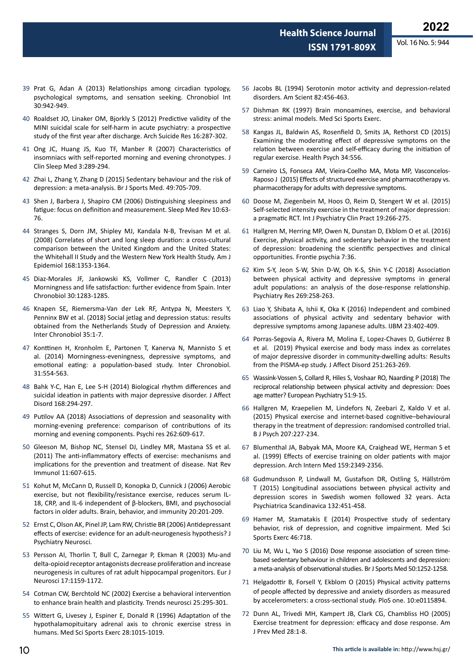- 39 Prat G, Adan A (2013) [Relationships among circadian typology,](https://www.tandfonline.com/doi/abs/10.3109/07420528.2013.790044)  [psychological symptoms, and sensation seeking.](https://www.tandfonline.com/doi/abs/10.3109/07420528.2013.790044) Chronobiol Int 30:942-949.
- 40 Roaldset JO, Linaker OM, Bjorkly S (2012) [Predictive validity of the](https://www.tandfonline.com/doi/abs/10.1080/13811118.2013.722052)  [MINI suicidal scale for self-harm in acute psychiatry: a prospective](https://www.tandfonline.com/doi/abs/10.1080/13811118.2013.722052)  [study of the first year after discharge.](https://www.tandfonline.com/doi/abs/10.1080/13811118.2013.722052) Arch Suicide Res 16:287-302.
- 41 Ong JC, Huang JS, Kuo TF, Manber R (2007) [Characteristics of](https://jcsm.aasm.org/doi/full/10.5664/jcsm.26801)  [insomniacs with self-reported morning and evening chronotypes.](https://jcsm.aasm.org/doi/full/10.5664/jcsm.26801) J Clin Sleep Med 3:289-294.
- 42 Zhai L, Zhang Y, Zhang D (2015) [Sedentary behaviour and the risk of](https://bjsm.bmj.com/content/49/11/705.abstract)  [depression: a meta-analysis](https://bjsm.bmj.com/content/49/11/705.abstract). Br J Sports Med. 49:705-709.
- 43 Shen J, Barbera J, Shapiro CM (2006) [Distinguishing sleepiness and](https://pubmed.ncbi.nlm.nih.gov/16376590/)  [fatigue: focus on definition and measurement.](https://pubmed.ncbi.nlm.nih.gov/16376590/) Sleep Med Rev 10:63- 76.
- 44 Stranges S, Dorn JM, Shipley MJ, Kandala N-B, Trevisan M et al. (2008) [Correlates of short and long sleep duration: a cross-cultural](https://academic.oup.com/aje/article/168/12/1353/156849?login=true)  [comparison between the United Kingdom and the United States:](https://academic.oup.com/aje/article/168/12/1353/156849?login=true)  [the Whitehall II Study and the Western New York Health Study.](https://academic.oup.com/aje/article/168/12/1353/156849?login=true) Am J Epidemiol 168:1353-1364.
- 45 Diaz-Morales JF, Jankowski KS, Vollmer C, Randler C (2013) [Morningness and life satisfaction: further evidence from Spain.](https://www.tandfonline.com/doi/abs/10.3109/07420528.2013.840786) Inter Chronobiol 30:1283-1285.
- 46 Knapen SE, Riemersma-Van der Lek RF, Antypa N, Meesters Y, Penninx BW et al. (2018) [Social jetlag and depression status: results](https://www.tandfonline.com/doi/abs/10.1080/07420528.2017.1374966)  [obtained from the Netherlands Study of Depression and Anxiety](https://www.tandfonline.com/doi/abs/10.1080/07420528.2017.1374966). Inter Chronobiol 35:1-7.
- 47 Konttinen H, Kronholm E, Partonen T, Kanerva N, Mannisto S et al. (2014) [Morningness-eveningness, depressive symptoms, and](https://www.tandfonline.com/doi/abs/10.3109/07420528.2013.877922)  [emotional eating: a population-based study](https://www.tandfonline.com/doi/abs/10.3109/07420528.2013.877922). Inter Chronobiol. 31:554-563.
- 48 Bahk Y-C, Han E, Lee S-H (2014) [Biological rhythm differences and](https://pubmed.ncbi.nlm.nih.gov/25080393/)  [suicidal ideation in patients with major depressive disorder](https://pubmed.ncbi.nlm.nih.gov/25080393/). J Affect Disord 168:294-297.
- 49 Putilov AA (2018) [Associations of depression and seasonality with](https://pubmed.ncbi.nlm.nih.gov/28965814/)  [morning-evening preference: comparison of contributions of its](https://pubmed.ncbi.nlm.nih.gov/28965814/)  [morning and evening components](https://pubmed.ncbi.nlm.nih.gov/28965814/). Psychi res 262:609-617.
- 50 Gleeson M, Bishop NC, Stensel DJ, Lindley MR, Mastana SS et al. (2011) [The anti-inflammatory effects of exercise: mechanisms and](https://www.nature.com/articles/nri3041)  [implications for the prevention and treatment of disease.](https://www.nature.com/articles/nri3041) Nat Rev Immunol 11:607-615.
- 51 Kohut M, McCann D, Russell D, Konopka D, Cunnick J (2006) [Aerobic](https://www.sciencedirect.com/science/article/abs/pii/S0889159105003727)  [exercise, but not flexibility/resistance exercise, reduces serum IL-](https://www.sciencedirect.com/science/article/abs/pii/S0889159105003727)[18, CRP, and IL-6 independent of β-blockers, BMI, and psychosocial](https://www.sciencedirect.com/science/article/abs/pii/S0889159105003727)  [factors in older adults.](https://www.sciencedirect.com/science/article/abs/pii/S0889159105003727) Brain, behavior, and immunity 20:201-209.
- 52 Ernst C, Olson AK, Pinel JP, Lam RW, Christie BR (2006) [Antidepressant](https://www.jpn.ca/content/31/2/84)  [effects of exercise: evidence for an adult-neurogenesis hypothesis?](https://www.jpn.ca/content/31/2/84) J Psychiatry Neurosci.
- 53 Persson AI, Thorlin T, Bull C, Zarnegar P, Ekman R (2003) [Mu‐and](https://onlinelibrary.wiley.com/doi/abs/10.1046/j.1460-9568.2003.02538.x)  [delta‐opioid receptor antagonists decrease proliferation and increase](https://onlinelibrary.wiley.com/doi/abs/10.1046/j.1460-9568.2003.02538.x)  [neurogenesis in cultures of rat adult hippocampal progenitors.](https://onlinelibrary.wiley.com/doi/abs/10.1046/j.1460-9568.2003.02538.x) Eur J Neurosci 17:1159-1172.
- 54 Cotman CW, Berchtold NC (2002) [Exercise a behavioral intervention](https://pubmed.ncbi.nlm.nih.gov/12086747/)  [to enhance brain health and plasticity](https://pubmed.ncbi.nlm.nih.gov/12086747/). Trends neurosci 25:295-301.
- 55 Wittert G, Livesey J, Espiner E, Donald R (1996) [Adaptation of the](https://europepmc.org/article/med/8871911)  [hypothalamopituitary adrenal axis to chronic exercise stress in](https://europepmc.org/article/med/8871911)  [humans.](https://europepmc.org/article/med/8871911) Med Sci Sports Exerc 28:1015-1019.
- 56 Jacobs BL (1994) [Serotonin motor activity and depression-related](https://www.jstor.org/stable/29775282)  [disorders.](https://www.jstor.org/stable/29775282) Am Scient 82:456-463.
- 57 Dishman RK (1997) [Brain monoamines, exercise, and behavioral](https://psycnet.apa.org/record/1997-02209-003)  [stress: animal models.](https://psycnet.apa.org/record/1997-02209-003) Med Sci Sports Exerc.
- 58 Kangas JL, Baldwin AS, Rosenfield D, Smits JA, Rethorst CD (2015) [Examining the moderating effect of depressive symptoms on the](https://psycnet.apa.org/record/2014-32959-001)  [relation between exercise and self-efficacy during the initiation of](https://psycnet.apa.org/record/2014-32959-001)  [regular exercise](https://psycnet.apa.org/record/2014-32959-001). Health Psych 34:556.
- 59 Carneiro LS, Fonseca AM, Vieira-Coelho MA, Mota MP, Vasconcelos-Raposo J (2015) [Effects of structured exercise and pharmacotherapy vs.](https://pubmed.ncbi.nlm.nih.gov/26522871/)  [pharmacotherapy for adults with depressive symptoms.](https://pubmed.ncbi.nlm.nih.gov/26522871/)
- 60 Doose M, Ziegenbein M, Hoos O, Reim D, Stengert W et al. (2015) [Self-selected intensity exercise in the treatment of major depression:](https://www.tandfonline.com/doi/abs/10.3109/13651501.2015.1082599)  [a pragmatic RCT.](https://www.tandfonline.com/doi/abs/10.3109/13651501.2015.1082599) Int J Psychiatry Clin Pract 19:266-275.
- 61 Hallgren M, Herring MP, Owen N, Dunstan D, Ekblom O et al. (2016) [Exercise, physical activity, and sedentary behavior in the treatment](https://www.frontiersin.org/articles/10.3389/fpsyt.2016.00036/full)  [of depression: broadening the scientific perspectives and clinical](https://www.frontiersin.org/articles/10.3389/fpsyt.2016.00036/full)  [opportunities.](https://www.frontiersin.org/articles/10.3389/fpsyt.2016.00036/full) Frontie psychia 7:36.
- 62 Kim S-Y, Jeon S-W, Shin D-W, Oh K-S, Shin Y-C (2018) [Association](https://pubmed.ncbi.nlm.nih.gov/30170283/)  [between physical activity and depressive symptoms in general](https://pubmed.ncbi.nlm.nih.gov/30170283/)  [adult populations: an analysis of the dose-response relationship.](https://pubmed.ncbi.nlm.nih.gov/30170283/) Psychiatry Res 269:258-263.
- 63 Liao Y, Shibata A, Ishii K, Oka K (2016) [Independent and combined](https://pdfs.semanticscholar.org/bb68/d71af7c65bcbdc16efe73b727dbbe1106ffc.pdf)  [associations of physical activity and sedentary behavior with](https://pdfs.semanticscholar.org/bb68/d71af7c65bcbdc16efe73b727dbbe1106ffc.pdf)  [depressive symptoms among Japanese adults.](https://pdfs.semanticscholar.org/bb68/d71af7c65bcbdc16efe73b727dbbe1106ffc.pdf) IJBM 23:402-409.
- 64 Porras-Segovia A, Rivera M, Molina E, Lopez-Chaves D, Gutiérrez B et al. (2019) [Physical exercise and body mass index as correlates](https://pubmed.ncbi.nlm.nih.gov/30951984/)  [of major depressive disorder in community-dwelling adults: Results](https://pubmed.ncbi.nlm.nih.gov/30951984/)  [from the PISMA-ep study](https://pubmed.ncbi.nlm.nih.gov/30951984/). J Affect Disord 251:263-269.
- 65 Wassink-Vossen S, Collard R, Hiles S, Voshaar RO, Naarding P (2018) [The](https://www.narcis.nl/publication/RecordID/oai%3Apure.rug.nl%3Apublications%2F28464e6c-f80b-4056-ba83-03860d9d91cd)  [reciprocal relationship between physical activity and depression: Does](https://www.narcis.nl/publication/RecordID/oai%3Apure.rug.nl%3Apublications%2F28464e6c-f80b-4056-ba83-03860d9d91cd)  [age matter?](https://www.narcis.nl/publication/RecordID/oai%3Apure.rug.nl%3Apublications%2F28464e6c-f80b-4056-ba83-03860d9d91cd) European Psychiatry 51:9-15.
- 66 Hallgren M, Kraepelien M, Lindefors N, Zeebari Z, Kaldo V et al. (2015) [Physical exercise and internet-based cognitive–behavioural](https://www.cambridge.org/core/journals/the-british-journal-of-psychiatry/article/physical-exercise-and-internetbased-cognitivebehavioural-therapy-in-the-treatment-of-depression-randomised-controlled-trial/66708A9B8C66ACF80FCA040784E5E9CD)  [therapy in the treatment of depression: randomised controlled trial.](https://www.cambridge.org/core/journals/the-british-journal-of-psychiatry/article/physical-exercise-and-internetbased-cognitivebehavioural-therapy-in-the-treatment-of-depression-randomised-controlled-trial/66708A9B8C66ACF80FCA040784E5E9CD) B J Psych 207:227-234.
- 67 Blumenthal JA, Babyak MA, Moore KA, Craighead WE, Herman S et al. (1999) [Effects of exercise training on older patients with major](https://jamanetwork.com/journals/jamainternalmedicine/fullarticle/485159)  [depression.](https://jamanetwork.com/journals/jamainternalmedicine/fullarticle/485159) Arch Intern Med 159:2349-2356.
- 68 Gudmundsson P, Lindwall M, Gustafson DR, Ostling S, Hällström T (2015) [Longitudinal associations between physical activity and](https://www.researchgate.net/publication/274901559_Longitudinal_associations_between_physical_activity_and_depression_scores_in_Swedish_women_followed_32_years)  [depression scores in Swedish women followed 32 years](https://www.researchgate.net/publication/274901559_Longitudinal_associations_between_physical_activity_and_depression_scores_in_Swedish_women_followed_32_years). Acta Psychiatrica Scandinavica 132:451-458.
- 69 Hamer M, Stamatakis E (2014) [Prospective study of sedentary](https://bmjopen.bmj.com/content/4/3/e004580.download.xml)  [behavior, risk of depression, and cognitive impairment](https://bmjopen.bmj.com/content/4/3/e004580.download.xml). Med Sci Sports Exerc 46:718.
- 70 Liu M, Wu L, Yao S (2016) [Dose response association of screen time](https://bjsm.bmj.com/content/50/20/1252.short)[based sedentary behaviour in children and adolescents and depression:](https://bjsm.bmj.com/content/50/20/1252.short)  [a meta-analysis of observational studies](https://bjsm.bmj.com/content/50/20/1252.short). Br J Sports Med 50:1252-1258.
- 71 Helgadottir B, Forsell Y, Ekblom O (2015) [Physical activity patterns](https://journals.plos.org/plosone/article?id=10.1371/journal.pone.0115894)  [of people affected by depressive and anxiety disorders as measured](https://journals.plos.org/plosone/article?id=10.1371/journal.pone.0115894)  [by accelerometers: a cross-sectional study. PloS one](https://journals.plos.org/plosone/article?id=10.1371/journal.pone.0115894). 10:e0115894.
- 72 Dunn AL, Trivedi MH, Kampert JB, Clark CG, Chambliss HO (2005) [Exercise treatment for depression: efficacy and dose response.](https://pubmed.ncbi.nlm.nih.gov/15626549/) Am J Prev Med 28:1-8.